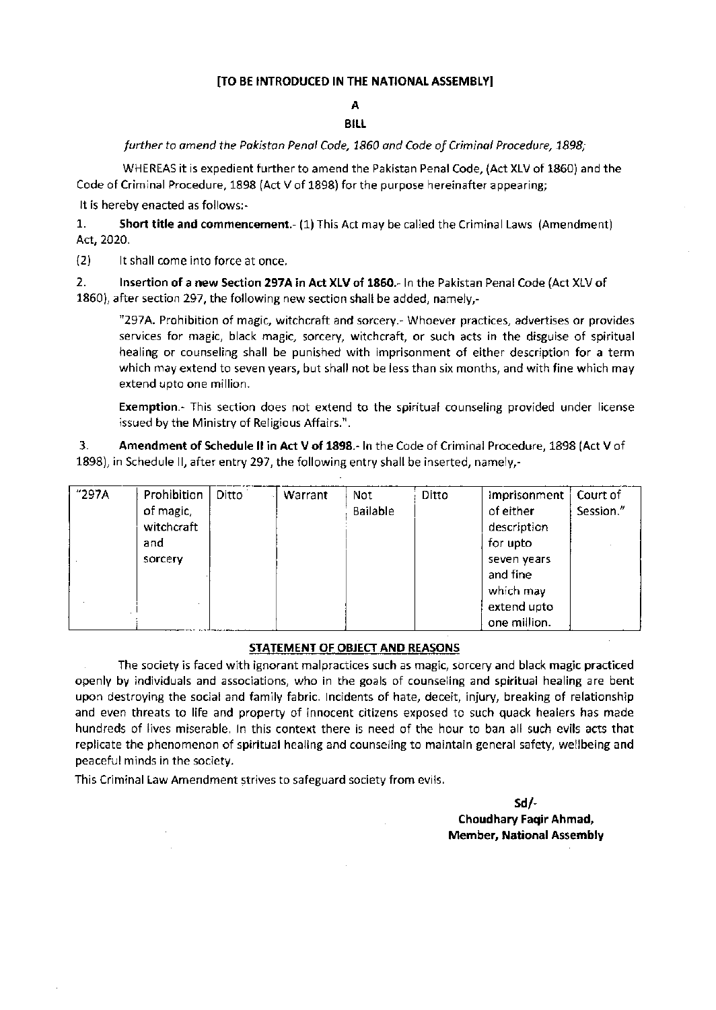## [TO BE INTRODUCED IN THE NATIONAL ASSEMBLY]

## A BILI.

## further to amend the Pakistan Penal Code, 1860 and Code of Criminal Procedure, 1898;

WHEREAS it is expedient further to amend the Pakistan Penal Code, (Act XLV of 1860) and the Code of Criminal Procedure,  $1898$  (Act V of  $1898$ ) for the purpose hereinafter appearing;

It is hereby enacted as follows:-

1. Short title and commencement. (1) This Act may be called the Criminal Laws (Amendment) Act,2020.

12) lt shall .ome into force at once.

2. lnsertion of a new Section 297A in Act XLV of 1860.- In the Pakistan Penal Code (Act XLV of 1860), after section 297, the following new section shall be added, namely,-

"297A. Prohibition of magic, witchcraft and sorcery.- Whoever practices, advertises or provides services for magic, black magic, sorcery, witchcraft, or such acts in the disguise of spiritual healing or counseling shall be punished with imprisonment of either description for a term which may extend to seven years, but shall not be less than six months, and with fine which may extend upto one million

Exemption.- This section does not extend to the spiritual counseling provided under license issued by the Ministry of Religious Affairs.".

3. Amendment of Schedule II in Act V of 1898.- In the Code of Criminal Procedure, 1898 (Act V of 1898), in Schedule ll, after entry 297, the following entry shall be inserted, namely,-

| "297A | Prohibition | Ditto | Warrant | Not             | Ditto | Imprisonment | Court of  |
|-------|-------------|-------|---------|-----------------|-------|--------------|-----------|
|       | of magic,   |       |         | <b>Bailable</b> |       | of either    | Session." |
|       | witchcraft  |       |         |                 |       | description  |           |
|       | and         |       |         |                 |       | for upto     |           |
|       | sorcery     |       |         |                 |       | seven years  |           |
|       |             |       |         |                 |       | and fine     |           |
|       |             |       |         |                 |       | which may    |           |
|       |             |       |         |                 |       | extend upto  |           |
|       |             |       |         |                 |       | one million. |           |

## STATEMENT OF OBIECT AND REASONS

The society is faced with ignorant malpractices such as magic, sorcery and black magic practiced openly by indviduals and assocrations, who in the goals of counseling and spiritual healing are bent upon destroying the social and family fabric. Incidents of hate, deceit, injury, breaking of relationship and even threats to life and property of innocent citizens exposed to such quack healers has made hundreds of lives mrserable. ln this context there is need of the hour to ban all such evils acts that replicate the phenomenon of spiritual healing and counseling to maintain general safety, wellbeing and peaceful minds in the society.

This Criminal Law Amendment strives to safeguard society from evils.

sdl-Choudhary Faqir Ahmad, Member, National Assembly